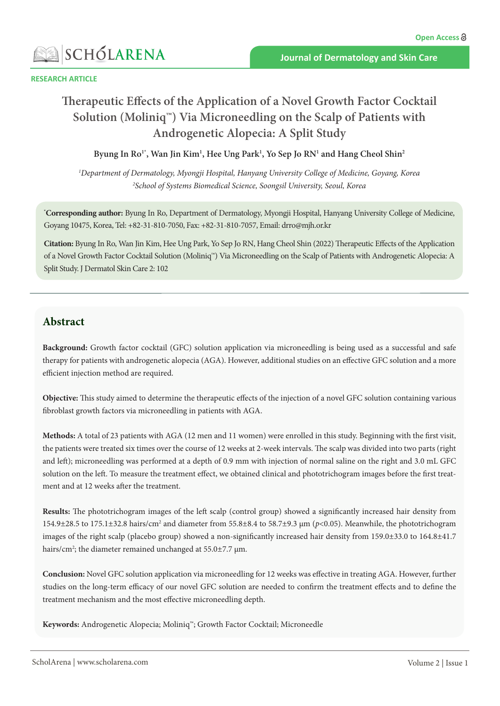

#### **RESEARCH ARTICLE**

# **Therapeutic Effects of the Application of a Novel Growth Factor Cocktail Solution (Moliniq™) Via Microneedling on the Scalp of Patients with Androgenetic Alopecia: A Split Study**

Byung In Ro<sup>1</sup><sup>\*</sup>, Wan Jin Kim<sup>1</sup>, Hee Ung Park<sup>1</sup>, Yo Sep Jo RN<sup>1</sup> and Hang Cheol Shin<sup>2</sup>

*1 Department of Dermatology, Myongji Hospital, Hanyang University College of Medicine, Goyang, Korea 2 School of Systems Biomedical Science, Soongsil University, Seoul, Korea*

**\* Corresponding author:** Byung In Ro, Department of Dermatology, Myongji Hospital, Hanyang University College of Medicine, Goyang 10475, Korea, Tel: +82-31-810-7050, Fax: +82-31-810-7057, Email: [drro@mjh.or.kr](mailto:drro@mjh.or.kr)

**Citation:** Byung In Ro, Wan Jin Kim, Hee Ung Park, Yo Sep Jo RN, Hang Cheol Shin (2022) Therapeutic Effects of the Application of a Novel Growth Factor Cocktail Solution (Moliniq™) Via Microneedling on the Scalp of Patients with Androgenetic Alopecia: A Split Study. J Dermatol Skin Care 2: 102

# **Abstract**

**Background:** Growth factor cocktail (GFC) solution application via microneedling is being used as a successful and safe therapy for patients with androgenetic alopecia (AGA). However, additional studies on an effective GFC solution and a more efficient injection method are required.

**Objective:** This study aimed to determine the therapeutic effects of the injection of a novel GFC solution containing various fibroblast growth factors via microneedling in patients with AGA.

**Methods:** A total of 23 patients with AGA (12 men and 11 women) were enrolled in this study. Beginning with the first visit, the patients were treated six times over the course of 12 weeks at 2-week intervals. The scalp was divided into two parts (right and left); microneedling was performed at a depth of 0.9 mm with injection of normal saline on the right and 3.0 mL GFC solution on the left. To measure the treatment effect, we obtained clinical and phototrichogram images before the first treatment and at 12 weeks after the treatment.

**Results:** The phototrichogram images of the left scalp (control group) showed a significantly increased hair density from 154.9±28.5 to 175.1±32.8 hairs/cm2 and diameter from 55.8±8.4 to 58.7±9.3 µm (*p*<0.05). Meanwhile, the phototrichogram images of the right scalp (placebo group) showed a non-significantly increased hair density from 159.0±33.0 to 164.8±41.7 hairs/cm²; the diameter remained unchanged at 55.0±7.7  $\mu$ m.

**Conclusion:** Novel GFC solution application via microneedling for 12 weeks was effective in treating AGA. However, further studies on the long-term efficacy of our novel GFC solution are needed to confirm the treatment effects and to define the treatment mechanism and the most effective microneedling depth.

**Keywords:** Androgenetic Alopecia; Moliniq™; Growth Factor Cocktail; Microneedle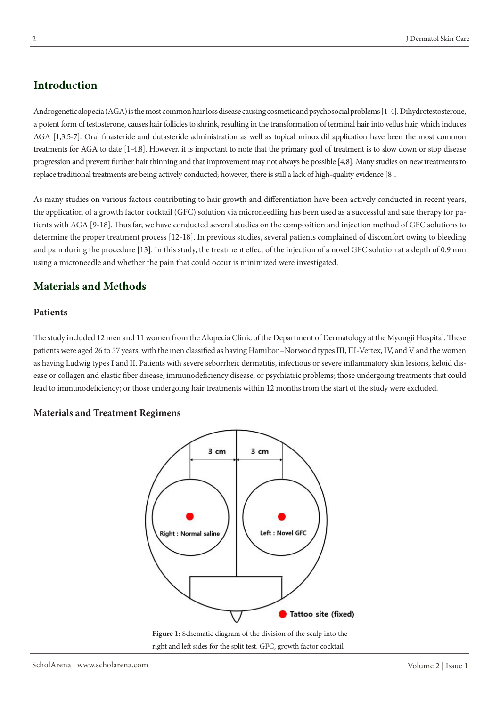## **Introduction**

Androgenetic alopecia (AGA) is the most common hair loss disease causing cosmetic and psychosocial problems [1-4]. Dihydrotestosterone, a potent form of testosterone, causes hair follicles to shrink, resulting in the transformation of terminal hair into vellus hair, which induces AGA [1,3,5-7]. Oral finasteride and dutasteride administration as well as topical minoxidil application have been the most common treatments for AGA to date [1-4,8]. However, it is important to note that the primary goal of treatment is to slow down or stop disease progression and prevent further hair thinning and that improvement may not always be possible [4,8]. Many studies on new treatments to replace traditional treatments are being actively conducted; however, there is still a lack of high-quality evidence [8].

As many studies on various factors contributing to hair growth and differentiation have been actively conducted in recent years, the application of a growth factor cocktail (GFC) solution via microneedling has been used as a successful and safe therapy for patients with AGA [9-18]. Thus far, we have conducted several studies on the composition and injection method of GFC solutions to determine the proper treatment process [12-18]. In previous studies, several patients complained of discomfort owing to bleeding and pain during the procedure [13]. In this study, the treatment effect of the injection of a novel GFC solution at a depth of 0.9 mm using a microneedle and whether the pain that could occur is minimized were investigated.

# **Materials and Methods**

#### **Patients**

The study included 12 men and 11 women from the Alopecia Clinic of the Department of Dermatology at the Myongji Hospital. These patients were aged 26 to 57 years, with the men classified as having Hamilton–Norwood types III, III-Vertex, IV, and V and the women as having Ludwig types I and II. Patients with severe seborrheic dermatitis, infectious or severe inflammatory skin lesions, keloid disease or collagen and elastic fiber disease, immunodeficiency disease, or psychiatric problems; those undergoing treatments that could lead to immunodeficiency; or those undergoing hair treatments within 12 months from the start of the study were excluded.

#### **Materials and Treatment Regimens**



right and left sides for the split test. GFC, growth factor cocktail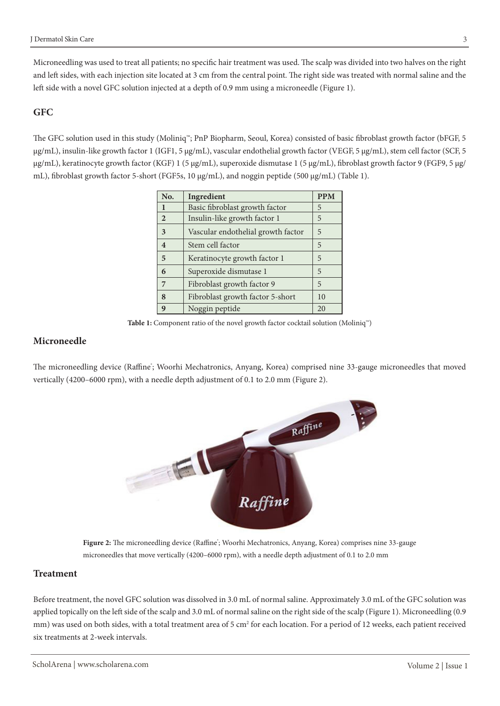Microneedling was used to treat all patients; no specific hair treatment was used. The scalp was divided into two halves on the right and left sides, with each injection site located at 3 cm from the central point. The right side was treated with normal saline and the left side with a novel GFC solution injected at a depth of 0.9 mm using a microneedle (Figure 1).

#### **GFC**

The GFC solution used in this study (Moliniq™; PnP Biopharm, Seoul, Korea) consisted of basic fibroblast growth factor (bFGF, 5 µg/mL), insulin-like growth factor 1 (IGF1, 5 µg/mL), vascular endothelial growth factor (VEGF, 5 µg/mL), stem cell factor (SCF, 5 µg/mL), keratinocyte growth factor (KGF) 1 (5 µg/mL), superoxide dismutase 1 (5 µg/mL), fibroblast growth factor 9 (FGF9, 5 µg/ mL), fibroblast growth factor 5-short (FGF5s, 10  $\mu$ g/mL), and noggin peptide (500  $\mu$ g/mL) (Table 1).

| No.                     | Ingredient                         | <b>PPM</b> |
|-------------------------|------------------------------------|------------|
| 1                       | Basic fibroblast growth factor     | 5          |
| $\overline{2}$          | Insulin-like growth factor 1       | 5          |
| 3                       | Vascular endothelial growth factor | 5          |
| $\overline{\mathbf{4}}$ | Stem cell factor                   | 5          |
| 5                       | Keratinocyte growth factor 1       | 5          |
| 6                       | Superoxide dismutase 1             | 5          |
| 7                       | Fibroblast growth factor 9         | 5          |
| 8                       | Fibroblast growth factor 5-short   | 10         |
| 9                       | Noggin peptide                     | 20         |

**Table 1:** Component ratio of the novel growth factor cocktail solution (Moliniq™)

#### **Microneedle**

The microneedling device (Raffine; Woorhi Mechatronics, Anyang, Korea) comprised nine 33-gauge microneedles that moved vertically (4200–6000 rpm), with a needle depth adjustment of 0.1 to 2.0 mm (Figure 2).



Figure 2: The microneedling device (Raffine<sup>\*</sup>; Woorhi Mechatronics, Anyang, Korea) comprises nine 33-gauge microneedles that move vertically (4200–6000 rpm), with a needle depth adjustment of 0.1 to 2.0 mm

#### **Treatment**

Before treatment, the novel GFC solution was dissolved in 3.0 mL of normal saline. Approximately 3.0 mL of the GFC solution was applied topically on the left side of the scalp and 3.0 mL of normal saline on the right side of the scalp (Figure 1). Microneedling (0.9 mm) was used on both sides, with a total treatment area of 5 cm<sup>2</sup> for each location. For a period of 12 weeks, each patient received six treatments at 2-week intervals.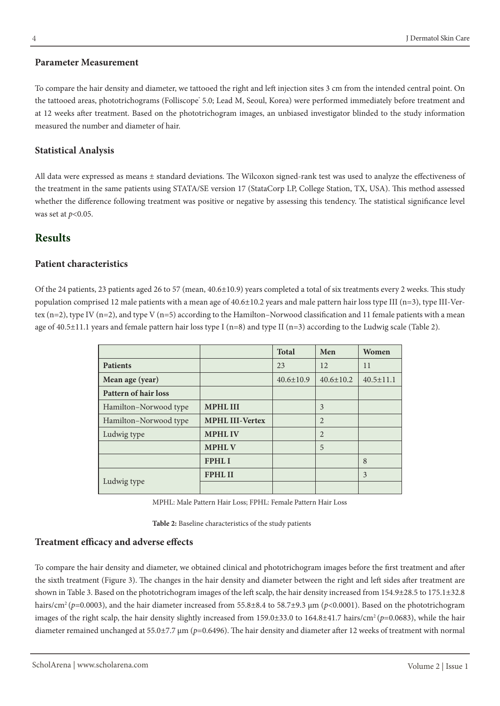To compare the hair density and diameter, we tattooed the right and left injection sites 3 cm from the intended central point. On the tattooed areas, phototrichograms (Folliscope' 5.0; Lead M, Seoul, Korea) were performed immediately before treatment and at 12 weeks after treatment. Based on the phototrichogram images, an unbiased investigator blinded to the study information measured the number and diameter of hair.

#### **Statistical Analysis**

All data were expressed as means ± standard deviations. The Wilcoxon signed-rank test was used to analyze the effectiveness of the treatment in the same patients using STATA/SE version 17 (StataCorp LP, College Station, TX, USA). This method assessed whether the difference following treatment was positive or negative by assessing this tendency. The statistical significance level was set at *p*<0.05.

### **Results**

#### **Patient characteristics**

Of the 24 patients, 23 patients aged 26 to 57 (mean, 40.6±10.9) years completed a total of six treatments every 2 weeks. This study population comprised 12 male patients with a mean age of 40.6±10.2 years and male pattern hair loss type III (n=3), type III-Vertex  $(n=2)$ , type IV  $(n=2)$ , and type V  $(n=5)$  according to the Hamilton–Norwood classification and 11 female patients with a mean age of 40.5 $\pm$ 11.1 years and female pattern hair loss type I (n=8) and type II (n=3) according to the Ludwig scale (Table 2).

|                             |                        | <b>Total</b>    | Men             | Women           |
|-----------------------------|------------------------|-----------------|-----------------|-----------------|
| <b>Patients</b>             |                        | 23              | 12              | 11              |
| Mean age (year)             |                        | $40.6 \pm 10.9$ | $40.6 \pm 10.2$ | $40.5 \pm 11.1$ |
| <b>Pattern of hair loss</b> |                        |                 |                 |                 |
| Hamilton-Norwood type       | <b>MPHL III</b>        |                 | 3               |                 |
| Hamilton-Norwood type       | <b>MPHL III-Vertex</b> |                 | $\overline{2}$  |                 |
| Ludwig type                 | <b>MPHLIV</b>          |                 | $\overline{2}$  |                 |
|                             | <b>MPHLV</b>           |                 | 5               |                 |
|                             | <b>FPHLI</b>           |                 |                 | 8               |
| Ludwig type                 | <b>FPHL II</b>         |                 |                 | 3               |
|                             |                        |                 |                 |                 |

MPHL: Male Pattern Hair Loss; FPHL: Female Pattern Hair Loss

**Table 2:** Baseline characteristics of the study patients

#### **Treatment efficacy and adverse effects**

To compare the hair density and diameter, we obtained clinical and phototrichogram images before the first treatment and after the sixth treatment (Figure 3). The changes in the hair density and diameter between the right and left sides after treatment are shown in Table 3. Based on the phototrichogram images of the left scalp, the hair density increased from 154.9±28.5 to 175.1±32.8 hairs/cm<sup>2</sup> (*p*=0.0003), and the hair diameter increased from 55.8±8.4 to 58.7±9.3 µm (*p*<0.0001). Based on the phototrichogram images of the right scalp, the hair density slightly increased from 159.0±33.0 to 164.8±41.7 hairs/cm<sup>2</sup> (*p*=0.0683), while the hair diameter remained unchanged at 55.0±7.7 µm ( $p=0.6496$ ). The hair density and diameter after 12 weeks of treatment with normal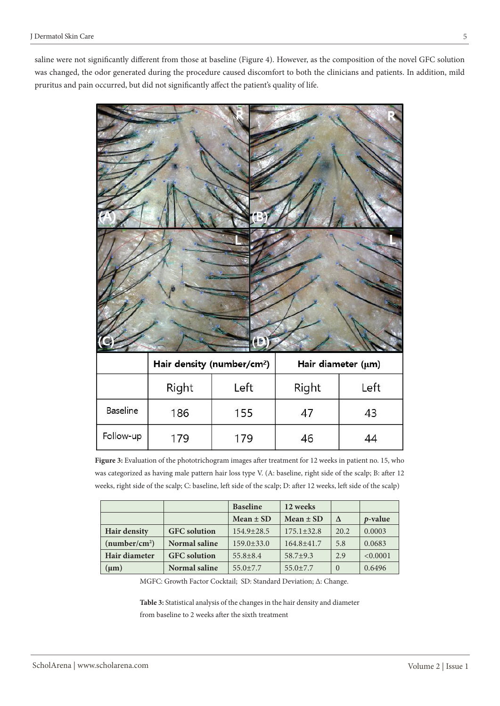saline were not significantly different from those at baseline (Figure 4). However, as the composition of the novel GFC solution was changed, the odor generated during the procedure caused discomfort to both the clinicians and patients. In addition, mild pruritus and pain occurred, but did not significantly affect the patient's quality of life.

|           |                                        | ü    |       |                    |
|-----------|----------------------------------------|------|-------|--------------------|
|           | Hair density (number/cm <sup>2</sup> ) |      |       | Hair diameter (µm) |
|           | Right                                  | Left | Right | Left               |
| Baseline  | 186                                    | 155  | 47    | 43                 |
| Follow-up | 179                                    | 179  | 46    | 44                 |

**Figure 3:** Evaluation of the phototrichogram images after treatment for 12 weeks in patient no. 15, who was categorized as having male pattern hair loss type V. (A: baseline, right side of the scalp; B: after 12 weeks, right side of the scalp; C: baseline, left side of the scalp; D: after 12 weeks, left side of the scalp)

|                           |                     | <b>Baseline</b>  | 12 weeks         |      |            |
|---------------------------|---------------------|------------------|------------------|------|------------|
|                           |                     | $Mean \pm SD$    | $Mean \pm SD$    | Δ    | $p$ -value |
| <b>Hair density</b>       | <b>GFC</b> solution | $154.9 \pm 28.5$ | $175.1 \pm 32.8$ | 20.2 | 0.0003     |
| (number/cm <sup>2</sup> ) | Normal saline       | $159.0 \pm 33.0$ | 164.8±41.7       | 5.8  | 0.0683     |
| Hair diameter             | <b>GFC</b> solution | $55.8 \pm 8.4$   | $58.7+9.3$       | 2.9  | < 0.0001   |
| $(\mu m)$                 | Normal saline       | $55.0 \pm 7.7$   | $55.0 \pm 7.7$   | 0    | 0.6496     |

MGFC: Growth Factor Cocktail; SD: Standard Deviation; Δ: Change.

**Table 3:** Statistical analysis of the changes in the hair density and diameter from baseline to 2 weeks after the sixth treatment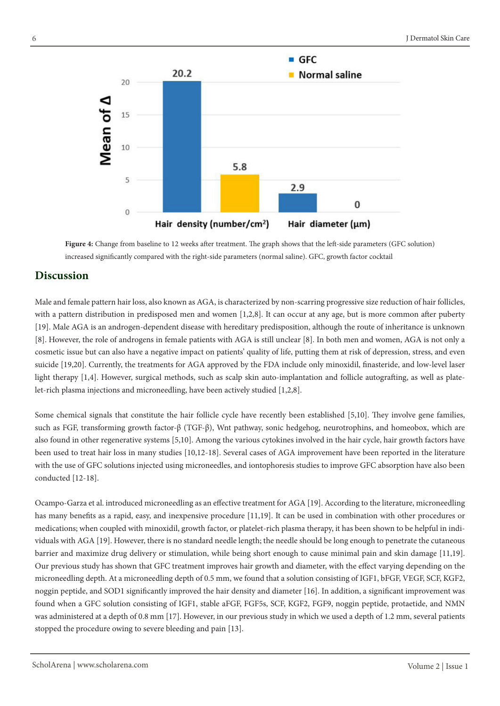

**Figure 4:** Change from baseline to 12 weeks after treatment. The graph shows that the left-side parameters (GFC solution) increased significantly compared with the right-side parameters (normal saline). GFC, growth factor cocktail

### **Discussion**

Male and female pattern hair loss, also known as AGA, is characterized by non-scarring progressive size reduction of hair follicles, with a pattern distribution in predisposed men and women [1,2,8]. It can occur at any age, but is more common after puberty [19]. Male AGA is an androgen-dependent disease with hereditary predisposition, although the route of inheritance is unknown [8]. However, the role of androgens in female patients with AGA is still unclear [8]. In both men and women, AGA is not only a cosmetic issue but can also have a negative impact on patients' quality of life, putting them at risk of depression, stress, and even suicide [19,20]. Currently, the treatments for AGA approved by the FDA include only minoxidil, finasteride, and low-level laser light therapy [1,4]. However, surgical methods, such as scalp skin auto-implantation and follicle autografting, as well as platelet-rich plasma injections and microneedling, have been actively studied [1,2,8].

Some chemical signals that constitute the hair follicle cycle have recently been established [5,10]. They involve gene families, such as FGF, transforming growth factor-β (TGF-β), Wnt pathway, sonic hedgehog, neurotrophins, and homeobox, which are also found in other regenerative systems [5,10]. Among the various cytokines involved in the hair cycle, hair growth factors have been used to treat hair loss in many studies [10,12-18]. Several cases of AGA improvement have been reported in the literature with the use of GFC solutions injected using microneedles, and iontophoresis studies to improve GFC absorption have also been conducted [12-18].

Ocampo-Garza et al. introduced microneedling as an effective treatment for AGA [19]. According to the literature, microneedling has many benefits as a rapid, easy, and inexpensive procedure [11,19]. It can be used in combination with other procedures or medications; when coupled with minoxidil, growth factor, or platelet-rich plasma therapy, it has been shown to be helpful in individuals with AGA [19]. However, there is no standard needle length; the needle should be long enough to penetrate the cutaneous barrier and maximize drug delivery or stimulation, while being short enough to cause minimal pain and skin damage [11,19]. Our previous study has shown that GFC treatment improves hair growth and diameter, with the effect varying depending on the microneedling depth. At a microneedling depth of 0.5 mm, we found that a solution consisting of IGF1, bFGF, VEGF, SCF, KGF2, noggin peptide, and SOD1 significantly improved the hair density and diameter [16]. In addition, a significant improvement was found when a GFC solution consisting of IGF1, stable aFGF, FGF5s, SCF, KGF2, FGF9, noggin peptide, protaetide, and NMN was administered at a depth of 0.8 mm [17]. However, in our previous study in which we used a depth of 1.2 mm, several patients stopped the procedure owing to severe bleeding and pain [13].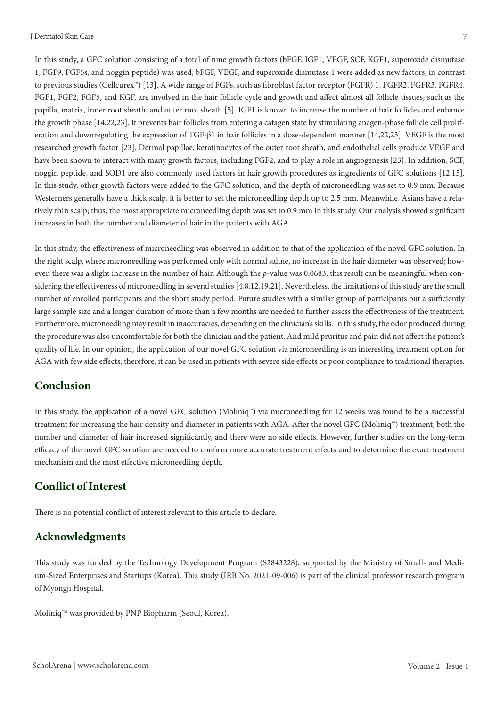In this study, a GFC solution consisting of a total of nine growth factors (bFGF, IGF1, VEGF, SCF, KGF1, superoxide dismutase 1, FGF9, FGF5s, and noggin peptide) was used; bFGF, VEGF, and superoxide dismutase 1 were added as new factors, in contrast to previous studies (Cellcurex™) [13]. A wide range of FGFs, such as fibroblast factor receptor (FGFR) 1, FGFR2, FGFR3, FGFR4, FGF1, FGF2, FGF5, and KGF, are involved in the hair follicle cycle and growth and affect almost all follicle tissues, such as the papilla, matrix, inner root sheath, and outer root sheath [5]. IGF1 is known to increase the number of hair follicles and enhance the growth phase [14,22,23]. It prevents hair follicles from entering a catagen state by stimulating anagen-phase follicle cell proliferation and downregulating the expression of TGF-β1 in hair follicles in a dose-dependent manner [14,22,23]. VEGF is the most researched growth factor [23]. Dermal papillae, keratinocytes of the outer root sheath, and endothelial cells produce VEGF and have been shown to interact with many growth factors, including FGF2, and to play a role in angiogenesis [23]. In addition, SCF, noggin peptide, and SOD1 are also commonly used factors in hair growth procedures as ingredients of GFC solutions [12,15]. In this study, other growth factors were added to the GFC solution, and the depth of microneedling was set to 0.9 mm. Because Westerners generally have a thick scalp, it is better to set the microneedling depth up to 2.5 mm. Meanwhile, Asians have a relatively thin scalp; thus, the most appropriate microneedling depth was set to 0.9 mm in this study. Our analysis showed significant increases in both the number and diameter of hair in the patients with AGA.

In this study, the effectiveness of microneedling was observed in addition to that of the application of the novel GFC solution. In the right scalp, where microneedling was performed only with normal saline, no increase in the hair diameter was observed; however, there was a slight increase in the number of hair. Although the *p*-value was 0.0683, this result can be meaningful when considering the effectiveness of microneedling in several studies [4,8,12,19,21]. Nevertheless, the limitations of this study are the small number of enrolled participants and the short study period. Future studies with a similar group of participants but a sufficiently large sample size and a longer duration of more than a few months are needed to further assess the effectiveness of the treatment. Furthermore, microneedling may result in inaccuracies, depending on the clinician's skills. In this study, the odor produced during the procedure was also uncomfortable for both the clinician and the patient. And mild pruritus and pain did not affect the patient's quality of life. In our opinion, the application of our novel GFC solution via microneedling is an interesting treatment option for AGA with few side effects; therefore, it can be used in patients with severe side effects or poor compliance to traditional therapies.

### **Conclusion**

In this study, the application of a novel GFC solution (Moliniq™) via microneedling for 12 weeks was found to be a successful treatment for increasing the hair density and diameter in patients with AGA. After the novel GFC (Moliniq™) treatment, both the number and diameter of hair increased significantly, and there were no side effects. However, further studies on the long-term efficacy of the novel GFC solution are needed to confirm more accurate treatment effects and to determine the exact treatment mechanism and the most effective microneedling depth.

## **Conflict of Interest**

There is no potential conflict of interest relevant to this article to declare.

## **Acknowledgments**

This study was funded by the Technology Development Program (S2843228), supported by the Ministry of Small- and Medium-Sized Enterprises and Startups (Korea). This study (IRB No. 2021-09-006) is part of the clinical professor research program of Myongji Hospital.

Moliniq™ was provided by PNP Biopharm (Seoul, Korea).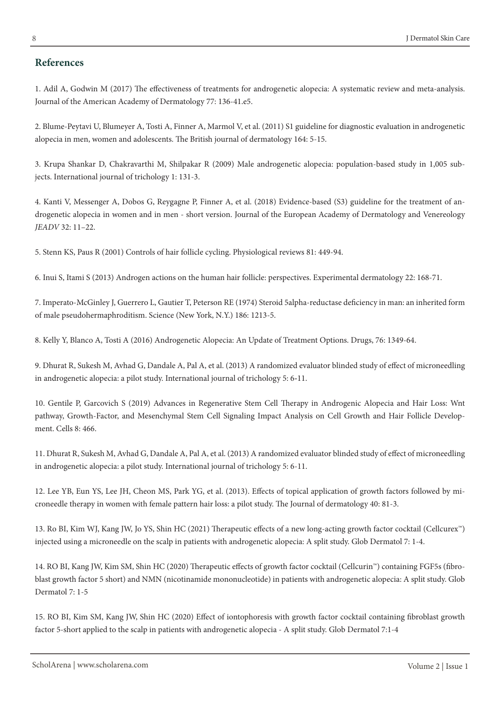#### **References**

1. Adil A, Godwin M (2017) The effectiveness of treatments for androgenetic alopecia: A systematic review and meta-analysis. Journal of the American Academy of Dermatology 77: 136-41.e5.

2. Blume-Peytavi U, Blumeyer A, Tosti A, Finner A, Marmol V, et al. (2011) S1 guideline for diagnostic evaluation in androgenetic alopecia in men, women and adolescents. The British journal of dermatology 164: 5-15.

3. Krupa Shankar D, Chakravarthi M, Shilpakar R (2009) Male androgenetic alopecia: population-based study in 1,005 subjects. International journal of trichology 1: 131-3.

4. Kanti V, Messenger A, Dobos G, Reygagne P, Finner A, et al. (2018) Evidence-based (S3) guideline for the treatment of androgenetic alopecia in women and in men - short version. Journal of the European Academy of Dermatology and Venereology *JEADV* 32: 11–22.

5. Stenn KS, Paus R (2001) Controls of hair follicle cycling. Physiological reviews 81: 449-94.

6. Inui S, Itami S (2013) Androgen actions on the human hair follicle: perspectives. Experimental dermatology 22: 168-71.

7. Imperato-McGinley J, Guerrero L, Gautier T, Peterson RE (1974) Steroid 5alpha-reductase deficiency in man: an inherited form of male pseudohermaphroditism. Science (New York, N.Y.) 186: 1213-5.

8. Kelly Y, Blanco A, Tosti A (2016) Androgenetic Alopecia: An Update of Treatment Options. Drugs, 76: 1349-64.

9. Dhurat R, Sukesh M, Avhad G, Dandale A, Pal A, et al. (2013) A randomized evaluator blinded study of effect of microneedling in androgenetic alopecia: a pilot study. International journal of trichology 5: 6**-**11.

10. Gentile P, Garcovich S (2019) Advances in Regenerative Stem Cell Therapy in Androgenic Alopecia and Hair Loss: Wnt pathway, Growth-Factor, and Mesenchymal Stem Cell Signaling Impact Analysis on Cell Growth and Hair Follicle Development. Cells 8: 466.

11. Dhurat R, Sukesh M, Avhad G, Dandale A, Pal A, et al. (2013) A randomized evaluator blinded study of effect of microneedling in androgenetic alopecia: a pilot study. International journal of trichology 5: 6-11.

12. Lee YB, Eun YS, Lee JH, Cheon MS, Park YG, et al. (2013). Effects of topical application of growth factors followed by microneedle therapy in women with female pattern hair loss: a pilot study. The Journal of dermatology 40: 81-3.

13. Ro BI, Kim WJ, Kang JW, Jo YS, Shin HC (2021) Therapeutic effects of a new long-acting growth factor cocktail (Cellcurex™) injected using a microneedle on the scalp in patients with androgenetic alopecia: A split study. Glob Dermatol 7: 1-4.

14. RO BI, Kang JW, Kim SM, Shin HC (2020) Therapeutic effects of growth factor cocktail (Cellcurin™) containing FGF5s (fibroblast growth factor 5 short) and NMN (nicotinamide mononucleotide) in patients with androgenetic alopecia: A split study. Glob Dermatol 7: 1-5

15. RO BI, Kim SM, Kang JW, Shin HC (2020) Effect of iontophoresis with growth factor cocktail containing fibroblast growth factor 5-short applied to the scalp in patients with androgenetic alopecia - A split study. Glob Dermatol 7:1-4